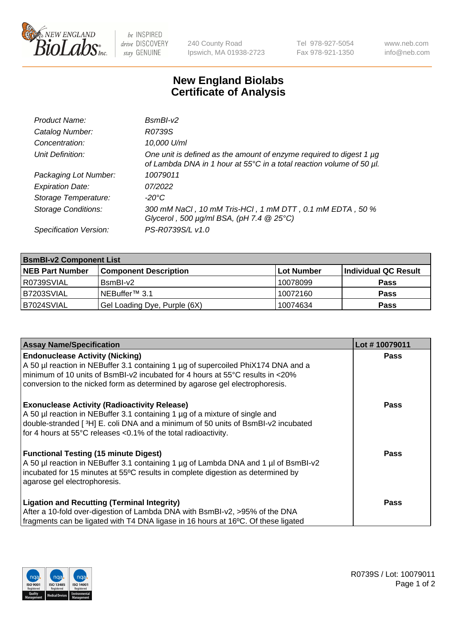

 $be$  INSPIRED drive DISCOVERY stay GENUINE

240 County Road Ipswich, MA 01938-2723 Tel 978-927-5054 Fax 978-921-1350 www.neb.com info@neb.com

## **New England Biolabs Certificate of Analysis**

| Product Name:              | $BsmBI-v2$                                                                                                                                  |
|----------------------------|---------------------------------------------------------------------------------------------------------------------------------------------|
| Catalog Number:            | R0739S                                                                                                                                      |
| Concentration:             | 10,000 U/ml                                                                                                                                 |
| Unit Definition:           | One unit is defined as the amount of enzyme required to digest 1 µg<br>of Lambda DNA in 1 hour at 55°C in a total reaction volume of 50 µl. |
| Packaging Lot Number:      | 10079011                                                                                                                                    |
| <b>Expiration Date:</b>    | 07/2022                                                                                                                                     |
| Storage Temperature:       | $-20^{\circ}$ C                                                                                                                             |
| <b>Storage Conditions:</b> | 300 mM NaCl, 10 mM Tris-HCl, 1 mM DTT, 0.1 mM EDTA, 50 %<br>Glycerol, 500 $\mu$ g/ml BSA, (pH 7.4 $@25°C$ )                                 |
| Specification Version:     | PS-R0739S/L v1.0                                                                                                                            |

| <b>BsmBI-v2 Component List</b> |                              |            |                      |  |  |
|--------------------------------|------------------------------|------------|----------------------|--|--|
| <b>NEB Part Number</b>         | <b>Component Description</b> | Lot Number | Individual QC Result |  |  |
| R0739SVIAL                     | BsmBI-v2                     | 10078099   | <b>Pass</b>          |  |  |
| B7203SVIAL                     | INEBuffer™ 3.1               | 10072160   | <b>Pass</b>          |  |  |
| B7024SVIAL                     | Gel Loading Dye, Purple (6X) | 10074634   | <b>Pass</b>          |  |  |

| <b>Assay Name/Specification</b>                                                      | Lot #10079011 |
|--------------------------------------------------------------------------------------|---------------|
| <b>Endonuclease Activity (Nicking)</b>                                               | <b>Pass</b>   |
| A 50 µl reaction in NEBuffer 3.1 containing 1 µg of supercoiled PhiX174 DNA and a    |               |
| $\mid$ minimum of 10 units of BsmBI-v2 incubated for 4 hours at 55°C results in <20% |               |
| conversion to the nicked form as determined by agarose gel electrophoresis.          |               |
| <b>Exonuclease Activity (Radioactivity Release)</b>                                  | <b>Pass</b>   |
| A 50 µl reaction in NEBuffer 3.1 containing 1 µg of a mixture of single and          |               |
| double-stranded [3H] E. coli DNA and a minimum of 50 units of BsmBI-v2 incubated     |               |
| for 4 hours at 55°C releases <0.1% of the total radioactivity.                       |               |
| <b>Functional Testing (15 minute Digest)</b>                                         | Pass          |
| A 50 µl reaction in NEBuffer 3.1 containing 1 µg of Lambda DNA and 1 µl of BsmBI-v2  |               |
| incubated for 15 minutes at 55°C results in complete digestion as determined by      |               |
| agarose gel electrophoresis.                                                         |               |
| <b>Ligation and Recutting (Terminal Integrity)</b>                                   | <b>Pass</b>   |
| After a 10-fold over-digestion of Lambda DNA with BsmBI-v2, >95% of the DNA          |               |
| fragments can be ligated with T4 DNA ligase in 16 hours at 16°C. Of these ligated    |               |